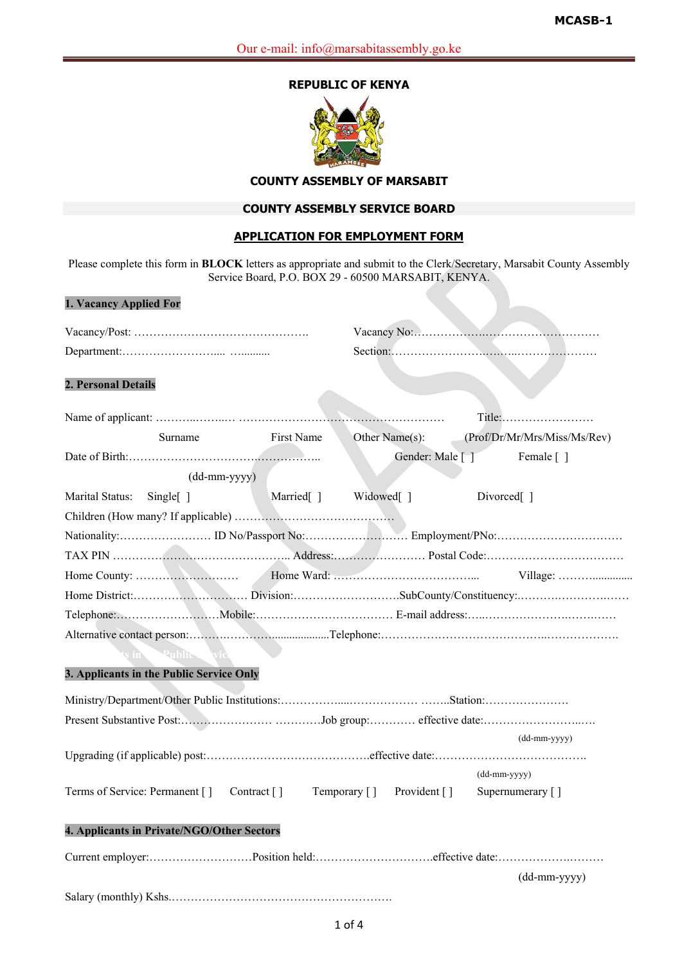# **REPUBLIC OF KENYA**



## **COUNTY ASSEMBLY OF MARSABIT**

# **COUNTY ASSEMBLY SERVICE BOARD**

## **APPLICATION FOR EMPLOYMENT FORM**

Please complete this form in **BLOCK** letters as appropriate and submit to the Clerk/Secretary, Marsabit County Assembly Service Board, P.O. BOX 29 - 60500 MARSABIT, KENYA.

**1. Vacancy Applied For**

| 1. Vacancy Applied For                                           |              |                       |                              |  |
|------------------------------------------------------------------|--------------|-----------------------|------------------------------|--|
|                                                                  |              |                       |                              |  |
|                                                                  |              |                       |                              |  |
| 2. Personal Details                                              |              |                       |                              |  |
|                                                                  |              |                       | Title:                       |  |
| Surname                                                          | First Name   | Other Name(s):        | (Prof/Dr/Mr/Mrs/Miss/Ms/Rev) |  |
|                                                                  |              | Gender: Male [ ]      | Female []                    |  |
| $(dd{\text{-}\!\!\,\text{mm-}}\text{\small{yyyy}})$              |              |                       |                              |  |
| Marital Status:<br>Single[]                                      | Married[]    | Widowed <sup>[]</sup> | Divorced <sup>[]</sup>       |  |
|                                                                  |              |                       |                              |  |
|                                                                  |              |                       |                              |  |
|                                                                  |              |                       |                              |  |
|                                                                  |              |                       |                              |  |
|                                                                  |              |                       |                              |  |
|                                                                  |              |                       |                              |  |
|                                                                  |              |                       |                              |  |
| in Public                                                        |              |                       |                              |  |
| 3. Applicants in the Public Service Only                         |              |                       |                              |  |
|                                                                  |              |                       |                              |  |
|                                                                  |              |                       |                              |  |
|                                                                  |              |                       | $(dd-mm-yyyy)$               |  |
|                                                                  |              |                       |                              |  |
|                                                                  |              |                       | $(dd-mm-yyyy)$               |  |
| Terms of Service: Permanent []<br>Contract $\lceil \cdot \rceil$ | Temporary [] | Provident []          | Supernumerary []             |  |
| 4. Applicants in Private/NGO/Other Sectors                       |              |                       |                              |  |
|                                                                  |              |                       |                              |  |
|                                                                  |              |                       | (dd-mm-yyyy)                 |  |
|                                                                  |              |                       |                              |  |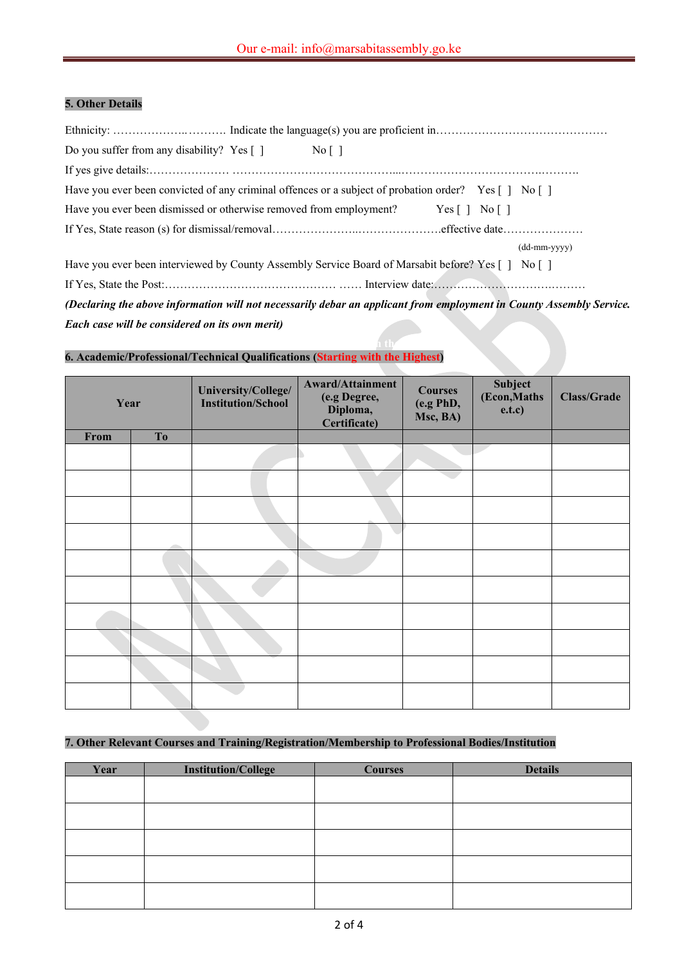# **5. Other Details**

| Do you suffer from any disability? Yes $\lceil \cdot \rceil$ No $\lceil \cdot \rceil$                                |
|----------------------------------------------------------------------------------------------------------------------|
|                                                                                                                      |
| Have you ever been convicted of any criminal offences or a subject of probation order? Yes [] No []                  |
| Have you ever been dismissed or otherwise removed from employment? Yes [] No []                                      |
|                                                                                                                      |
| $(dd{\text{-}\!\!\,\text{mm}}\text{-}vyyy)$                                                                          |
| Have you ever been interviewed by County Assembly Service Board of Marsabit before? Yes [] No []                     |
|                                                                                                                      |
| (Declaring the above information will not necessarily debar an applicant from employment in County Assembly Service. |

*Each case will be considered on its own merit)*

#### $\mathbf{A}$  activities  $\mathbf{A}$  activities (Starting with the Highest)  $\mathbf{A}$  is the Highest starting with the Highest starting with the Highest starting with the Highest starting  $\mathbf{A}$ **6. Academic/Professional/Technical Qualifications (Starting with the Highest)**

| Year |                   | University/College/<br><b>Institution/School</b> | <b>Award/Attainment</b><br>(e.g Degree,<br>Diploma,<br>Certificate) | <b>Courses</b><br>(e.g PhD,<br>Msc, BA) | Subject<br>(Econ, Maths)<br>e.t.c) | <b>Class/Grade</b> |
|------|-------------------|--------------------------------------------------|---------------------------------------------------------------------|-----------------------------------------|------------------------------------|--------------------|
| From | To                |                                                  |                                                                     |                                         |                                    |                    |
|      |                   |                                                  |                                                                     |                                         |                                    |                    |
|      |                   |                                                  |                                                                     |                                         |                                    |                    |
|      |                   |                                                  |                                                                     |                                         |                                    |                    |
|      | <b>CONTRACTOR</b> |                                                  |                                                                     |                                         |                                    |                    |
|      |                   |                                                  |                                                                     |                                         |                                    |                    |
|      |                   |                                                  |                                                                     |                                         |                                    |                    |
|      |                   |                                                  |                                                                     |                                         |                                    |                    |
|      |                   |                                                  |                                                                     |                                         |                                    |                    |
|      |                   |                                                  |                                                                     |                                         |                                    |                    |
|      |                   |                                                  |                                                                     |                                         |                                    |                    |

### **7. Other Relevant Courses and Training/Registration/Membership to Professional Bodies/Institution**

| Year | <b>Institution/College</b> | <b>Courses</b> | <b>Details</b> |
|------|----------------------------|----------------|----------------|
|      |                            |                |                |
|      |                            |                |                |
|      |                            |                |                |
|      |                            |                |                |
|      |                            |                |                |
|      |                            |                |                |
|      |                            |                |                |
|      |                            |                |                |
|      |                            |                |                |
|      |                            |                |                |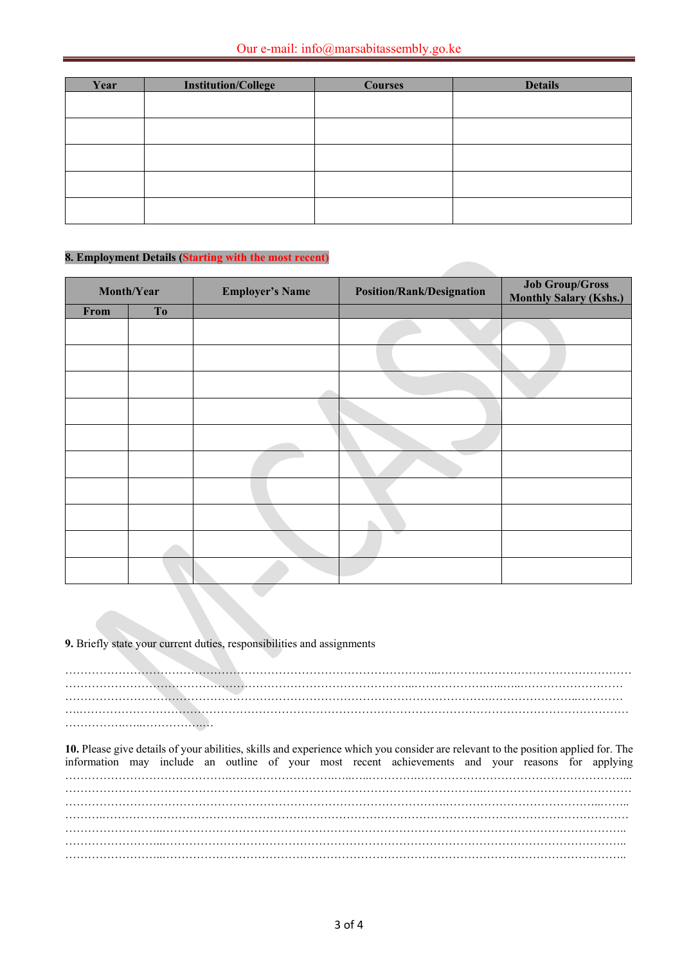| Year | <b>Institution/College</b> | <b>Courses</b> | <b>Details</b> |
|------|----------------------------|----------------|----------------|
|      |                            |                |                |
|      |                            |                |                |
|      |                            |                |                |
|      |                            |                |                |
|      |                            |                |                |
|      |                            |                |                |
|      |                            |                |                |

### **8. Employment Details (Starting with the most recent)**

| Month/Year<br><b>Employer's Name</b> |    | <b>Position/Rank/Designation</b> | <b>Job Group/Gross</b><br><b>Monthly Salary (Kshs.)</b> |  |
|--------------------------------------|----|----------------------------------|---------------------------------------------------------|--|
| From                                 | To |                                  |                                                         |  |
|                                      |    |                                  |                                                         |  |
|                                      |    |                                  |                                                         |  |
|                                      |    |                                  |                                                         |  |
|                                      |    |                                  |                                                         |  |
|                                      |    |                                  |                                                         |  |
|                                      |    |                                  |                                                         |  |
|                                      |    |                                  |                                                         |  |
|                                      |    |                                  |                                                         |  |
|                                      |    |                                  |                                                         |  |
|                                      |    |                                  |                                                         |  |

**9.** Briefly state your current duties, responsibilities and assignments

……………………………………………………………………………………..…………………………………………… ………………………………………………………………………………..……………….…..…..……………………… ………………………………………………………………………………………………….…………………..………… ….……………………………………………………………………………………………………………………………… …………….…..…………….…

**10.** Please give details of your abilities, skills and experience which you consider are relevant to the position applied for. The information may include an outline of your most recent achievements and your reasons for applying …………………………………….……………………….…..…..………….………………………………………………... ………………………………………………………………………………………………..………………………………… ……………………………………………………………………………………….…………………………………..…….. ……….………………………………………………………………………………………………………………………… ……………………..………………………………………………………………………………………………………….. ……………………..………………………………………………………………………………………………………….. ……………………..…………………………………………………………………………………………………………..